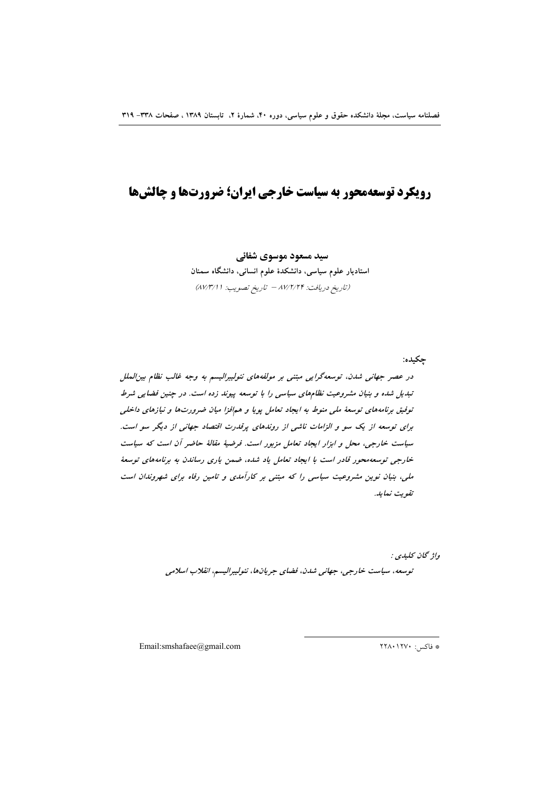## **رویکرد توسعهمحور به سیاست خارجی ایران؛ ضرورتها و چالشها**

سید مسعود موسوی شفائی استادیار علوم سیاسی، دانشکدهٔ علوم انسانی، دانشگاه سمنان (تاريخ دريافت: ۸۷/۲/۲۴ - تاريخ تصويب: ۸۷/۳/۱۱)

در عصر جهانی شدن، توسعهگرایی مبتنی بر مولفههای نئولیبرالیسم به وجه غالب نظام بینالملل تبدیل شده و بنیان مشروعیت نظامهای سیاسی را با توسعه پیوند زده است. در چنین فضایی شرط توفیق برنامههای توسعهٔ ملی منوط به ایجاد تعامل پویا و همافزا میان ضرورتها و نیازهای داخلی برای توسعه از یک سو و الزامات ناشی از روندهای پرقدرت اقتصاد جهانی از دیگر سو است. سیاست خارجی، محل و ابزار ایجاد تعامل مزبور است. فرضیهٔ مقالهٔ حاضر آن است که سیاست خارجی توسعه محور قادر است با ایجاد تعامل یاد شده، ضمن یاری رساندن به برنامههای توسعهٔ ملی، بنیان نوین مشروعیت سیاسی را که مبتنی بر کارآمدی و تامین رفاه برای شهروندان است تقويت نمايد.

> واژ گان كىلىدى : توسعه، سياست خارجي، جهاني شدن، فضاي جريانها، نئوليبراليسم، انقلاب اسلامي

Email:smshafaee@gmail.com

\* فاكس: ٢٢٨٠١٢٧٠

حكىدە: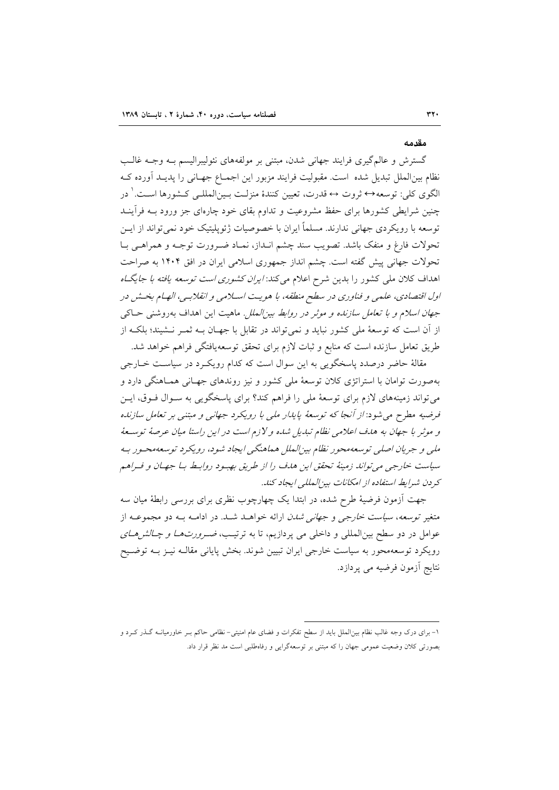#### مقدمه

گسترش و عالم گیری فرایند جهانی شدن، مبتنی بر مولفههای نئولیبرالیسم بـه وجـه غالـب نظام بین|لملل تبدیل شده است. مقبولیت فرایند مزبور این اجمــاع جهــانی را پدیــد اَورده کــه الگوی کلی: توسعه→ ثروت ↔ قدرت، تعیین کنندهٔ منزلـت بـین|لمللـی کـشورها اسـت.' در چنین شرایطی کشورها برای حفظ مشروعیت و تداوم بقای خود چارهای جز ورود بــه فرأینــد توسعه با رویکردی جهانی ندارند. مسلماً ایران با خصوصیات ژئوپلیتیک خود نمیتواند از ایـن تحولات فارغ و منفک باشد. تصویب سند چشم انـداز، نمـاد ضـرورت توجـه و همراهـی بـا تحولات جهانی پیش گفته است. چشم انداز جمهوری اسلامی ایران در افق ۱۴۰۴ به صراحت اهداف کلان ملی کشور را بدین شرح اعلام میکند: *ایران کشوری است توسعه یافته با جایگ*اه اول اقتصادي، علمي و فناوري در سطح منطقه، با هويت اسلامي و انقلابي، الهـام بخـش در *جهان اسلام و با تعامل سازنده و موثر در روابط بین الملل. م*اهیت این اهداف بهروشنی حـاکمی از اّن است که توسعهٔ ملی کشور نباید و نمیٍتواند در تقابل با جهـان بــه ثمــر نــشیند؛ بلکــه از طریق تعامل سازنده است که منابع و ثبات لازم برای تحقق توسعهیافتگی فراهم خواهد شد.

مقالهٔ حاضر درصدد پاسخگویی به این سوال است که کدام رویکرد در سیاست خـارجی بهصورت توامان با استراتژی کلان توسعهٔ ملی کشور و نیز روندهای جهـانی همـاهنگی دارد و میتواند زمینههای لازم برای توسعهٔ ملی را فراهم کند؟ برای پاسخگویی به سـوال فـوق، ایـن فرضیه مطرح می شود: از آنجا که توسعهٔ پایدار ملی با رویکرد جهانی و مبتنی بر تعامل سازنده و موثر با جهان به هدف اعلامی نظام تبدیل شده و لازم است در این راستا میان عرصهٔ توسـعهٔ ملی و جریان اصلی توسعه محور نظام بین الملل هماهنگی ایجاد شود، رویکرد توسعه محـور بـه سیاست خارجی می تواند زمینهٔ تحقق این هدف را از طریق بهبود روابط بـا جهـان و فـراهم كردن شرايط استفاده از امكانات بين المللي ايجاد كند.

جهت آزمون فرضیهٔ طرح شده، در ابتدا یک چهارچوب نظری برای بررسی رابطهٔ میان سه متغیر ت*وسعه، سیاست خارجی و جهانی شدن* ارائه خواهـد شـد. در ادامـه بـه دو مجموعـه از عوامل در دو سطح بین|لمللی و داخلی می یردازیم، تا به ترتیب، ض*رورت هـا و چـالش هـای* رویکرد توسعهمحور به سیاست خارجی ایران تبیین شوند. بخش پایانی مقالـه نیــز بــه توضــیح نتايج أزمون فرضيه مي پردازد.

۱– برای درک وجه غالب نظام بین|لملل باید از سطح تفکرات و فضای عام امنیتی– نظامی حاکم بـر خاورمیانــه گــذر کــرد و بصورتی کلان وضعیت عمومی جهان را که مبتنی بر توسعهگرایی و رفاهطلبی است مد نظر قرار داد.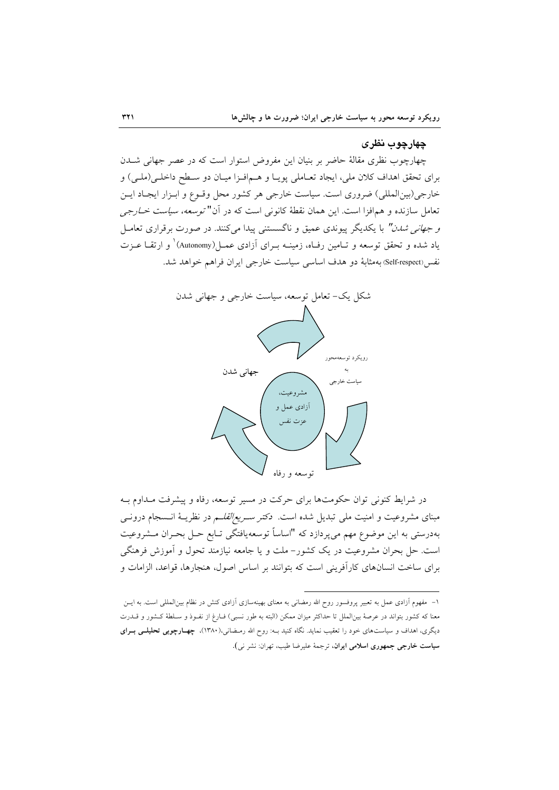#### چهارچوب نظری

چهارچوب نظری مقالهٔ حاضر بر بنیان این مفروض استوار است که در عصر جهانی شــدن برای تحقق اهداف کلان ملی، ایجاد تعــاملی پویــا و هــم|فــزا میــان دو ســطح داخلــی(ملــی) و خارجي(بينالمللي) ضروري است. سياست خارجي هر كشور محل وقـوع و ابـزار ايجـاد ايـن تعامل سازنده و همافزا است. این همان نقطهٔ کانونی است که در آن" *توسعه، سیاست خــارجی و جهانی شدن"* با یکدیگر پیوندی عمیق و ناگسستنی پیدا میکنند. در صورت برقراری تعامـل یاد شده و تحقق توسعه و تـامین رفـاه، زمینــه بــرای آزادی عمــل(Autonomy)' و ارتقــا عــزت نفس (Self-respect) بهمثابة دو هدف اساسي سياست خارجي ايران فراهم خواهد شد.



در شرایط کنونی توان حکومتها برای حرکت در مسیر توسعه، رفاه و پیشرفت مـداوم بــه مبنای مشروعیت و امنیت ملی تبدیل شده است. دکتر *سریع القله*م در نظریـهٔ انـسجام درونــی بهدرستی به این موضوع مهم می پردازد که "اساساً توسعه یافتگی تــابع حــل بحــران مــشروعیت است. حل بحران مشروعیت در یک کشور– ملت و یا جامعه نیازمند تحول و آموزش فرهنگی برای ساخت انسانهای کارآفرینی است که بتوانند بر اساس اصول، هنجارها، قواعد، الزامات و

۱– مفهوم آزادی عمل به تعبیر پروفسور روح الله رمضانی به معنای بهینهسازی آزادی کنش در نظام بین(لمللی است. به ایــن معنا كه كشور بتواند در عرصهٔ بینِالملل تا حداكثر میزان ممكن (البته به طور نسبی) فـارغ از نفـوذ و سـلطهٔ كـشور و قــدرت دیگری، اهداف و سیاستهای خود را تعقیب نماید. نگاه کنید بـه: روح الله رمـضانی،(۱۳۸۰)، چهـارچوبی تحلیلــی بــرای سیاست خارجی جمهوری اسلامی ایران، ترجمهٔ علیرضا طیب، تهران: نشر نبی).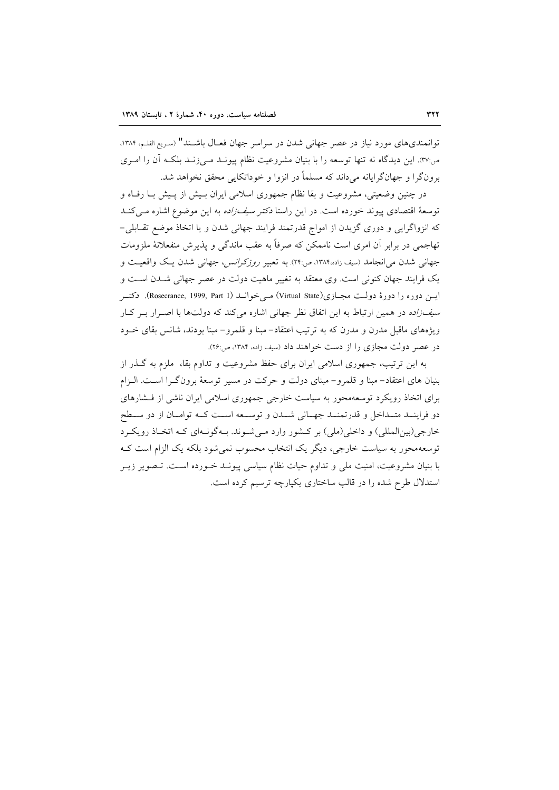توانمندیهای مورد نیاز در عصر جهانی شدن در سراسر جهان فعـال باشــند" (سـریع القلــم، ۱۳۸۴، ص:٣٧). این دیدگاه نه تنها توسعه را با بنیان مشروعیت نظام پیونــد مــی;زنــد بلکــه آن را امــری برونگرا و جهانگرایانه میداند که مسلماً در انزوا و خوداتکایی محقق نخواهد شد.

در چنین وضعیتی، مشروعیت و بقا نظام جمهوری اسلامی ایران بـیش از پـیش بــا رفــاه و توسعهٔ اقتصادی پیوند خورده است. در این راستا دکتر *سیفزاده* به این موضوع اشاره مےکنـد که انزواگرایی و دوری گزیدن از امواج قدرتمند فرایند جهانی شدن و یا اتخاذ موضع تقـابلی-تهاجمی در برابر آن امری است ناممکن که صرفاً به عقب ماندگی و پذیرش منفعلانهٔ ملزومات جهاني شدن مي انجامد (سيف زاده،۱۳۸۴، ص:۲۴). به تعبير *روزكرانس، جه*اني شدن يك واقعيت و یک فرایند جهان کنونی است. وی معتقد به تغییر ماهیت دولت در عصر جهانی شـدن اسـت و ایــن دوره را دورهٔ دولـت مجــازی(Virtual State) مــیخوانــد (Rosecrance, 1999, Part I). دکتــر *سيف زاده* در همين ارتباط به اين اتفاق نظر جهاني اشاره مي كند كه دولتها با اصـرار بـر كـار ویژههای ماقبل مدرن و مدرن که به ترتیب اعتقاد– مبنا و قلمرو– مبنا بودند، شانس بقای خــود در عصر دولت مجازي را از دست خواهند داد (سيف زاده، ١٣٨۴، ص٢۶).

به این ترتیب، جمهوری اسلامی ایران برای حفظ مشروعیت و تداوم بقا، ملزم به گـذر از بنیان های اعتقاد- مبنا و قلمرو- مبنای دولت و حرکت در مسیر توسعهٔ برونگـرا اسـت. الـزام برای اتخاذ رویکرد توسعهمحور به سیاست خارجی جمهوری اسلامی ایران ناشی از فسشارهای دو فراینــد متــداخل و قدرتمنــد جهــاني شــدن و توســعه اســت كــه توامــان از دو ســطح خارجی(بینالمللی) و داخلی(ملی) بر کشور وارد میشوند. بـهگونـهای کـه اتخـاذ رویکـرد توسعهمحور به سیاست خارجی، دیگر یک انتخاب محسوب نمی شود بلکه یک الزام است ک با بنیان مشروعیت، امنیت ملی و تداوم حیات نظام سیاسی پیونـد خـورده اسـت. تـصویر زیـر استدلال طرح شده را در قالب ساختاری یکپارچه ترسیم کرده است.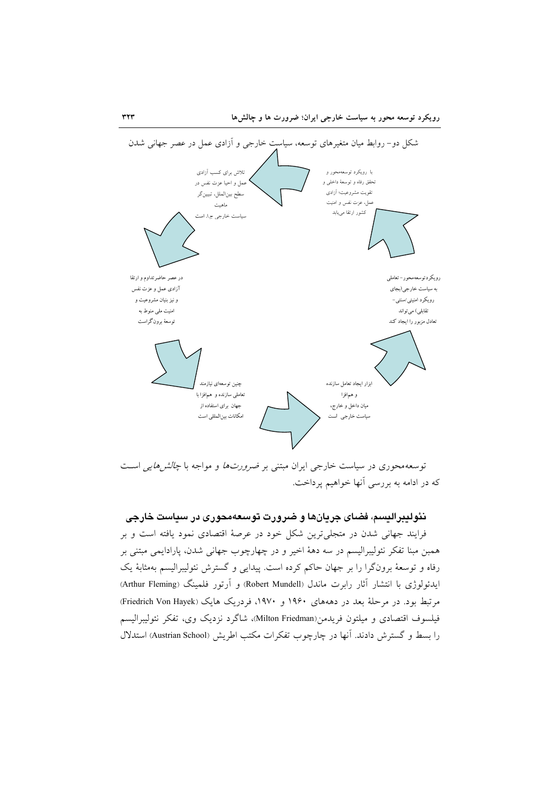

توسعه محوری در سیاست خارجی ایران مبتنی بر *ضرورت ها* و مواجه با *چالش هایی* اسـت که در ادامه به بررسی آنها خواهیم پرداخت.

## نئوليبراليسم، فضاي جريانها و ضرورت توسعهمحوري در سياست خارجي فرایند جهانی شدن در متجلّی ترین شکل خود در عرصهٔ اقتصادی نمود یافته است و بر همبن مبنا تفکر نئولیبرالیسم در سه دههٔ اخیر و در چهارچوب جهانی شدن، پارادایمی مبتنی بر رفاه و توسعهٔ برونگرا را بر جهان حاکم کرده است. پیدایی و گسترش نئولیبرالیسم بهمثابهٔ یک ایدئولوژی با انتشار آثار رابرت ماندل (Robert Mundell) و آرتور فلمینگ (Arthur Fleming) مرتبط بود. در مرحلهٔ بعد در دهههای ۱۹۶۰ و ۱۹۷۰، فردریک هایک (Friedrich Von Hayek) فیلسوف اقتصادی و میلتون فریدمن(Milton Friedman)، شاگرد نزدیک وی، تفکر نئولیبرالیسم را بسط و گسترش دادند. آنها در چارچوب تفکرات مکتب اطریش (Austrian School) استدلال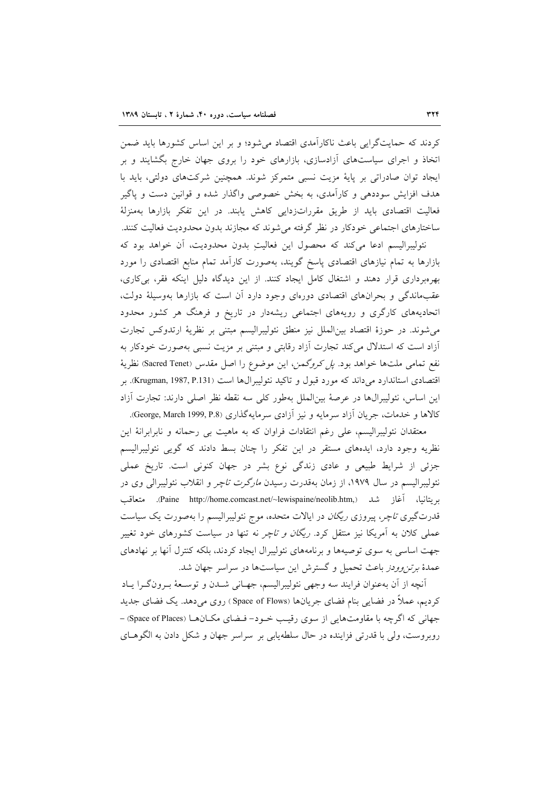کردند که حمایتگرایی باعث ناکارآمدی اقتصاد میشود؛ و بر این اساس کشورها باید ضمن اتخاذ و اجرای سیاستهای آزادسازی، بازارهای خود را بروی جهان خارج بگشایند و بر ایجاد توان صادراتی بر پایهٔ مزیت نسبی متمرکز شوند. همچنین شرکتهای دولتی، باید با هدف افزایش سوددهی و کارآمدی، به بخش خصوصی واگذار شده و قوانین دست و پاگیر فعالیت اقتصادی باید از طریق مقرراتزدایی کاهش یابند. در این تفکر بازارها بهمنزلهٔ ساختارهای اجتماعی خودکار در نظر گرفته می شوند که مجازند بدون محدودیت فعالیت کنند.

نئوليبراليسم ادعا مي كند كه محصول اين فعاليتِ بدون محدوديت، أن خواهد بود كه بازارها به تمام نیازهای اقتصادی پاسخ گویند، بهصورت کارآمد تمام منابع اقتصادی را مورد بهرهبرداری قرار دهند و اشتغال کامل ایجاد کنند. از این دیدگاه دلیل اینکه فقر، بیکاری، عقبماندگی و بحرانهای اقتصادی دورمای وجود دارد آن است که بازارها بهوسیلهٔ دولت، اتحادیههای کارگری و رویههای اجتماعی ریشهدار در تاریخ و فرهنگ هر کشور محدود می شوند. در حوزهٔ اقتصاد بین الملل نیز منطق نئولیبرالیسم مبتنی بر نظریهٔ ارتدوکس تجارت آزاد است که استدلال میکند تجارت آزاد رقابتی و مبتنی بر مزیت نسبی بهصورت خودکار به نفع تمامی ملتها خواهد بود. *پل کروگمن*، این موضوع را اصل مقدس (Sacred Tenet) نظریهٔ اقتصادی استاندارد می داند که مورد قبول و تاکید نئولیبرالها است (Krugman, 1987, P.131). بر این اساس، نئولیبرال&ا در عرصهٔ بین|لملل بهطور کلی سه نقطه نظر اصلی دارند: تجارت اَزاد كالاها و خدمات، جريان آزاد سرمايه و نيز آزادي سرمايهگذاري (George, March 1999, P.8).

معتقدان نئولیبرالیسم، علی رغم انتقادات فراوان که به ماهیت بی رحمانه و نابرابرانهٔ این نظریه وجود دارد، ایدههای مستقر در این تفکر را چنان بسط دادند که گویی نئولیبرالیسم جزئی از شرایط طبیعی و عادی زندگی نوع بشر در جهان کنونی است. تاریخ عملی نئولیبرالیسم در سال ۱۹۷۹، از زمان بهقدرت رسیدن *مارگرت تاچر و* انقلاب نئولیبرال<sub>ی</sub> وی در بريتانيا، آغاز شد (.Paine http://home.comcast.net/~lewispaine/neolib.htm). متعاقب قدرتگیری *تاچر*، پیروزی *ریگان* در ایالات متحده، موج نئولیبرالیسم را بهصورت یک سیاست عملی کلان به آمریکا نیز منتقل کرد. *ریگان و تاچر* نه تنها در سیاست کشورهای خود تغییر جهت اساسی به سوی توصیهها و برنامههای نئولیبرال ایجاد کردند، بلکه کنترل آنها بر نهادهای عمدهٔ برتن وودر باعث تحمیل و گسترش این سیاستها در سراسر جهان شد.

آنچه از آن بهعنوان فرایند سه وجهی نئولیبرالیسم، جهـانی شـدن و توسـعهٔ بـرونگـرا یـاد کردیم، عملاً در فضایی بنام فضای جریانها (Space of Flows) روی می دهد. یک فضای جدید جهاني كه اگرچه با مقاومتهايي از سوي رقيب خـود- فـضاي مكـانهـا (Space of Places) -روبروست، ولي با قدرتي فزاينده در حال سلطه يابي بر سراسر جهان و شكل دادن به الگوهـاي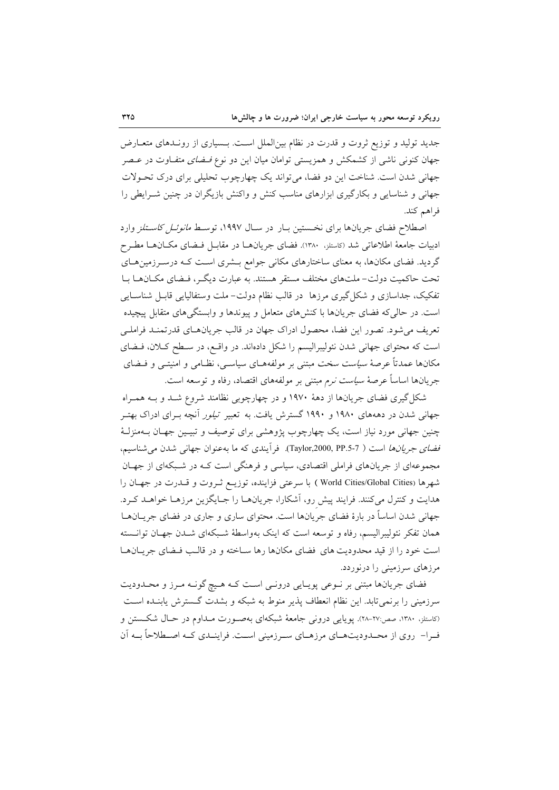جدید تولید و توزیع ثروت و قدرت در نظام بین الملل است. بـسیاری از رونـدهای متعـارض جهان کنونی ناشی از کشمکش و همزیستی توامان میان این دو نوع *فـضای متف*ـاوت در عـصر جهاني شدن است. شناخت اين دو فضا، مي تواند يک چهارچوب تحليلي براي درک تحـولات جهانی و شناسایی و بکارگیری ایزارهای مناسب کنش و واکنش بازیگران در چنین شـرابطی را فراهم كند.

اصطلاح فضای جریانها برای نخستین بـار در سـال ١٩٩٧، توسـط *مانوئـل كاسـتلز و*ارد ادبیات جامعهٔ اطلاعاتی شد (کاستلز، ۱۳۸۰). فضای جریانهـا در مقابـل فـضای مکـانهـا مطـرح گردید. فضای مکانها، به معنای ساختارهای مکانی جوامع بـشری اسـت کـه درسـرزمینهـای تحت حاکمیت دولت- ملتهای مختلف مستقر هستند. به عبارت دیگر، فـضای مکـانهـا بـا تفکیک، جداسازی و شکل گیری مرزها ً در قالب نظام دولت– ملت وستفالیایی قابـل شناسـایی است. در حالی که فضای جریانها با کنشهای متعامل و پیوندها و وابستگی های متقابل پیچیده تعریف میشود. تصور این فضا، محصول ادراک جهان در قالب جریانهای قدرتمنـد فراملـی است که محتوای جهانی شدن نئولیبرالیسم را شکل دادهاند. در واقع، در سطح کلان، فهای مکانها عمدتاً عرصهٔ *سیاست سخت* مبتنی بر مولفههــای سیاســی، نظــامی و امنیتــی و فــضای جريانها اساساً عرصهٔ *سياست نرم* مبتنى بر مولفههاى اقتصاد، رفاه و توسعه است.

شکل گیری فضای جریانها از دههٔ ۱۹۷۰ و در چهارچوبی نظامند شروع شـد و بـه همـراه جهانی شدن در دهههای ۱۹۸۰ و ۱۹۹۰ گسترش یافت. به تعبیر ت*یلور* آنچه بـرای ادراک بهتـر چنین جهانی مورد نیاز است، یک چهارچوب پژوهشی برای توصیف و تبیـین جهـان بــهمنزلــهٔ فض*ای جریانها* است ( Taylor,2000, PP.5-7). فرآیندی که ما بهعنوان جهانی شدن می شناسیم، مجموعهای از جریانهای فراملی اقتصادی، سیاسی و فرهنگی است کـه در شـبکهای از جهـان شهرها (World Cities/Global Cities ) با سرعتی فزاینده، توزیـع ثــروت و قــدرت در جهــان را هدایت و کنترل میکنند. فرایند پیش رو، آشکارا، جریانهـا را جـایگزین مرزهـا خواهـد کـرد. جهانی شدن اساساً در بارهٔ فضای جریانها است. محتوای ساری و جاری در فضای جریــانهــا همان تفکر نئولیبرالیسم، رفاه و توسعه است که اینک بهواسطهٔ شـبکهای شـدن جهـان توانــسته است خود را از قبد محدودیت های فضای مکانها رها سـاخته و در قالـب فـضای جریـانهـا مرزهای سرزمینی را درنوردد.

فضای جریانها مبتنی بر نـوعی پویـایی درونـی اسـت کـه هـیچ گونـه مـرز و محـدودیت سرزمینی را برنمی تابد. این نظام انعطاف پذیر منوط به شبکه و بشدت گسترش پابنـده اسـت (كاستلز، ١٣٨٠، صص:٢٧-٢٨). يويايي دروني جامعهٔ شبكهاي بهصورت مـداوم در حـال شكـستن و ف ا– روی از محــدودیتهــای مرزهــای ســرزمینی اســت. فراینــدی کــه اصــطلاحاً بــه آن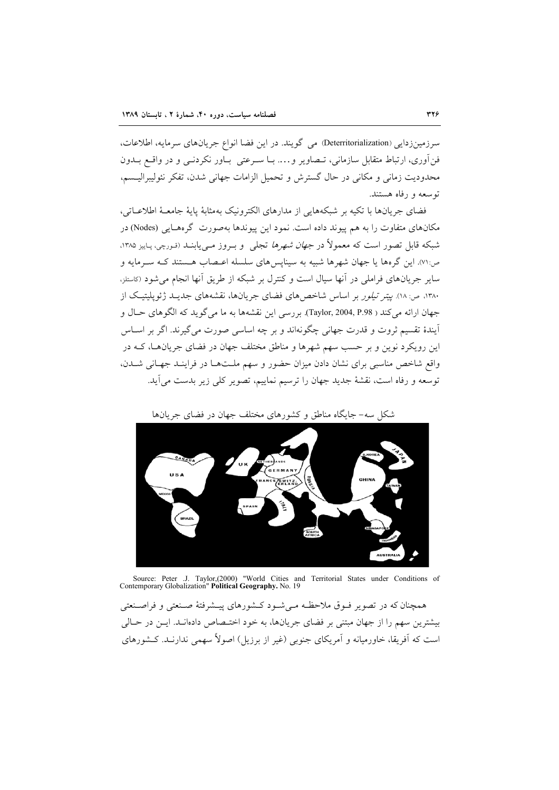سرزمینزدایی (Deterritorialization) می گویند. در این فضا انواع جریانهای سرمایه، اطلاعات، فن آوری، ارتباط متقابل سازمانی، تـصاویر و…. بـا سـرعتی بـاور نکردنـی و در واقــع بــدون محدودیت زمانی و مکانی در حال گسترش و تحمیل الزامات جهانی شدن، تفکر نئولیبرالیـسم، توسعه و رفاه هستند.

فضاي جريانها با تكيه بر شبكههايي از مدارهاي الكترونيك بهمثابهٔ يايهٔ جامعـهٔ اطلاعــاتي، مکانهای متفاوت را به هم پیوند داده است. نمود این پیوندها بهصورت گرههـایی (Nodes) در شبکه قابل تصور است که معمولاً در *جهان شهرها* تجل<sub>ی</sub> و بـروز مـی،یابنــد (قـورچی، پـاییز ۱۳۸۵، ص:۷۱). این گرهها یا جهان شهرها شبیه به سینایس های سلسله اعـصاب هـستند کـه سـرمایه و سایر جریانهای فراملی در آنها سیال است و کنترل بر شبکه از طریق آنها انجام می شود (کاستلز، ۱۳۸۰، ص: ۱۸). *پیتر تیلور* بر اساس شاخصهای فضای جریانها، نقشههای جدیـد ژئوپلیتیـک از جهان ارائه مي كند ( Taylor, 2004, P.98). بررسي اين نقشهها به ما مي گويد كه الگوهاي حـال و اًیندهٔ تقسیم ثروت و قدرت جهانی چگونهاند و بر چه اساسی صورت میگیرند. اگر بر اسـاس این رویکرد نوین و بر حسب سهم شهرها و مناطق مختلف جهان در فضای جریانهـا، کــه در واقع شاخص مناسبی برای نشان دادن میزان حضور و سهم ملـتهـا در فراینـد جهـانی شـدن، توسعه و رفاه است، نقشهٔ جدید جهان را ترسیم نماییم، تصویر کلی زیر بدست می آید.



شکل سه- جایگاه مناطق و کشورهای مختلف جهان در فضای جریانها

Source: Peter J. Taylor,(2000) "World Cities and Territorial States under Conditions of Contemporary Globalization" Political Geography. No. 19

همچنان که در تصویر فـوق ملاحظـه مـیشـود کـشورهای پیـشرفتهٔ صـنعتی و فراصـنعتی بیشترین سهم را از جهان مبتنی بر فضای جریانها، به خود اختـصاص دادهانـد. ایــن در حــالـی است که آفریقا، خاورمیانه و آمریکای جنوبی (غیر از برزیل) اصولاً سهمی ندارنـد. کــشورهای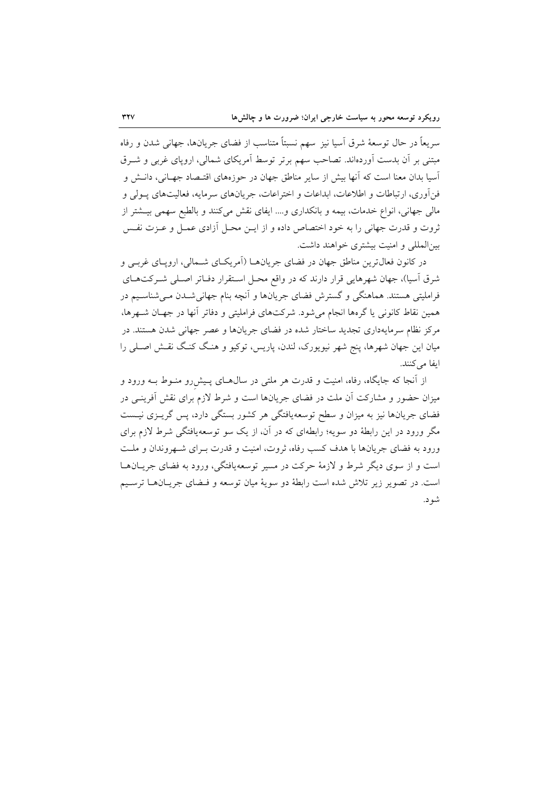سريعاً در حال توسعهٔ شرق آسيا نيز سهم نسبتاً متناسب از فضاي جريانها، جهاني شدن و رفاه مبتنی بر آن بدست آوردهاند. تصاحب سهم برتر توسط آمریکای شمالی، اروپای غربی و شــرق آسیا بدان معنا است که آنها بیش از سایر مناطق جهان در حوزههای اقتـصاد جهـانی، دانـش و فن آوری، ارتباطات و اطلاعات، ابداعات و اختراعات، جریانهای سرمایه، فعالیتهای پـولی و مالی جهانی، انواع خدمات، بیمه و بانکداری و.... ایفای نقش میکنند و بالطبع سهمی بیـشتر از ثروت و قدرت جهانی را به خود اختصاص داده و از ایـن محـل آزادی عمـل و عـزت نفـس بین المللی و امنیت بیشتری خواهند داشت.

در کانون فعالترین مناطق جهان در فضای جریانهــا (اَمریکــای شــمالی، ارویــای غربــی و شرق آسیا)، جهان شهرهایی قرار دارند که در واقع محـل اسـتقرار دفـاتر اصـلی شــرکتهـای فراملیتی هستند. هماهنگی و گسترش فضای جریانها و اَنچه بنام جهانی شـدن مـی شناسـیم در همین نقاط کانونی یا گرهها انجام می شود. شرکتهای فراملیتی و دفاتر آنها در جهـان شــهرها، مرکز نظام سرمایهداری تجدید ساختار شده در فضای جریانها و عصر جهانی شدن هستند. در میان این جهان شهرها، پنج شهر نیویورک، لندن، پاریس، توکیو و هنگ کنگ نقـش اصـلی را ايفا مى كنند.

از آنجا که جایگاه، رفاه، امنیت و قدرت هر ملتی در سال۵حای پـیش٫و منــوط بــه ورود و میزان حضور و مشارکت اَن ملت در فضای جریانها است و شرط لازم برای نقش اَفرینــی در فضای جریانها نیز به میزان و سطح توسعهیافتگی هر کشور بستگی دارد، پس گریـزی نیـست مگر ورود در این رابطهٔ دو سویه؛ رابطهای که در آن، از یک سو توسعه یافتگی شرط لازم برای ورود به فضای جریانها با هدف کسب رفاه، ثروت، امنیت و قدرت بـرای شـهروندان و ملـت است و از سوی دیگر شرط و لازمهٔ حرکت در مسیر توسعهیافتگی، ورود به فضای جریـانهـا است. در تصویر زیر تلاش شده است رابطهٔ دو سویهٔ میان توسعه و فـضای جریـانهـا ترسـیم شود.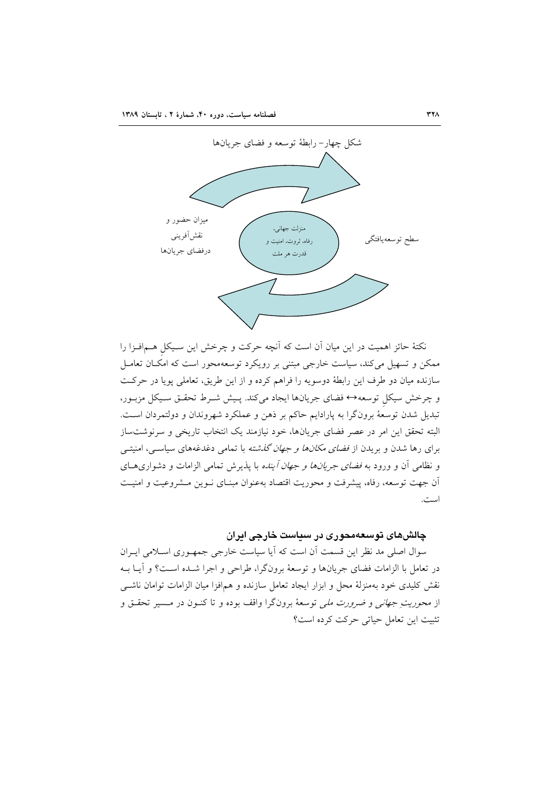

نکتهٔ حائز اهمیت در این میان آن است که آنچه حرکت و چرخش این سـیکل هـمافـزا را ممکن و تسهیل میکند، سیاست خارجی مبتنی بر رویکرد توسعهمحور است که امکـان تعامـل سازنده میان دو طرف این رابطهٔ دوسویه را فراهم کرده و از این طریق، تعاملی پویا در حرکت و چرخش سیکل توسعه→ فضای جریانها ایجاد میکند. پیش شـرط تحقـق سـیکل مزبـور، تبدیل شدن توسعهٔ برونگرا به پارادایم حاکم بر ذهن و عملکرد شهروندان و دولتمردان است. البته تحقق این امر در عصر فضای جریانها، خود نیازمند یک انتخاب تاریخی و سرنوشتساز برای رها شدن و بریدن از *فضای مکانها و جهان گذشته* با تمامی دغدغههای سیاس*ت*، امنیتبی و نظامی آن و ورود به *فضای جریانها و جهان آینده* با پذیرش تمامی الزامات و دشواریهــای آن جهت توسعه، رفاه، پیشرفت و محوریت اقتصاد بهعنوان مبنـای نـوین مـشروعیت و امنیـت است.

چالشهای توسعهمحوری در سیاست خارجی ایران

سوال اصلی مد نظر این قسمت آن است که آیا سیاست خارجی جمهوری اسلامی ایـران در تعامل با الزامات فضاي جريانها و توسعهٔ برونگرا، طراحي و اجرا شـده اسـت؟ و آيــا بــه نقش كليدى خود بهمنزلة محل و ابزار ايجاد تعامل سازنده و همافزا ميان الزامات توامان ناشبي از *محوریتِ جهانی و ضرورت ملی* توسعهٔ برونگرا واقف بوده و تا کنـون در مـسبر تحقـق و تثبيت اين تعامل حياتي حركت كرده است؟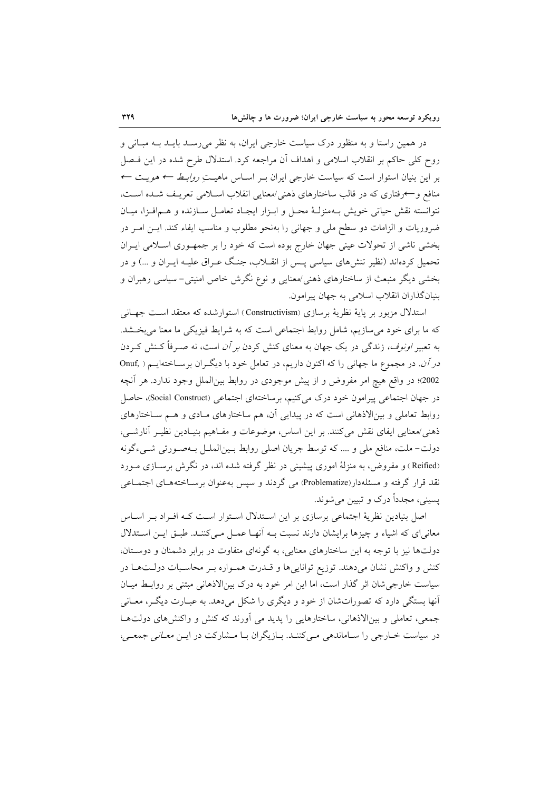در همین راستا و به منظور درک سیاست خارجی ایران، به نظر می رسـد بایـد بـه مبـانی و روح کلی حاکم بر انقلاب اسلامی و اهداف آن مراجعه کرد. استدلال طرح شده در این فیصل بر این بنیان استوار است که سیاست خارجی ایران بـر اسـاس ماهیـتِ *روابـط ← هویـت ←* منافع و←رفتاری که در قالب ساختارهای ذهنی/معنایی انقلاب اسلامی تعریـف شـده اسـت، نتوانسته نقش حياتي خويش بـهمنزلـهٔ محـل و ابـزار ايجـاد تعامـل سـازنده و هـمافـزا، ميـان ضروریات و الزامات دو سطح ملی و جهانی را بهنحو مطلوب و مناسب ایفاء کند. ایـن امـر در بخشی ناشی از تحولات عینی جهان خارج بوده است که خود را بر جمهـوری اسـلامی ایـران تحمیل کردهاند (نظیر تنشهای سیاسی پـس از انقــلاب، جنـگ عــراق علیــه ایــران و …) و در بخشی دیگر منبعث از ساختارهای ذهنی/معنایی و نوع نگرش خاص امنیتی- سیاسی رهبران و بنيان گذاران انقلاب اسلامي به جهان پير امون.

استدلال مزبور بر پایهٔ نظریهٔ برسازی (Constructivism) استوارشده که معتقد است جهـانی که ما برای خود میسازیم، شامل روابط اجتماعی است که به شرایط فیزیکی ما معنا می بخشد. به تعبیر *اونوف، زندگی در یک جهان به معنای کنش کردن بر آن است، نه صـرفاً کـنش کـردن* در *آن*. در مجموع ما جهانی را که اکنون داریم، در تعامل خود با دیگـران برســاختهایــم ( Onuf, ) 2002؛ در واقع هيچ امر مفروض و از پيش موجودي در روابط بين الملل وجود ندارد. هر آنچه در جهان اجتماعی پیرامون خود درک میکنیم، برساختهای اجتماعی (Social Construct)، حاصل روابط تعاملی و بینالاذهانی است که در پیدایی آن، هم ساختارهای مـادی و هـم سـاختارهای ذهنی/معنایی ایفای نقش میکنند. بر این اساس، موضوعات و مفـاهیم بنیـادین نظیـر آنارشــی، دولت- ملت، منافع ملي و …. كه توسط جريان اصلي روابط بـين|لملـل بـهصـورتي شـيءگونه (Reified) و مفروض، به منزلهٔ اموری پیشینی در نظر گرفته شده اند، در نگرش برسـازی مـورد نقد قرار گرفته و مسئلهدار(Problematize) می گردند و سپس بهعنوان برسـاختههـای اجتمـاعی يسيني، مجدداً درک و تبيين مي شوند.

اصل بنیادین نظریهٔ اجتماعی برسازی بر این استدلال استوار است کـه افـراد بـر اسـاس معانی ای که اشیاء و چیزها برایشان دارند نسبت بـه آنهــا عمــل مــی کننــد. طبــق ایــن اســتدلال دولتها نیز با توجه به این ساختارهای معنایی، به گونهای متفاوت در برابر دشمنان و دوسـتان، کنش و واکنش نشان میدهند. توزیع تواناییها و قــدرت همـواره بـر محاسـبات دولـتهـا در سیاست خارجی شان اثر گذار است، اما این امر خود به درک بینالاذهانی مبتنی بر روابط میـان آنها بستگی دارد که تصوراتشان از خود و دیگری را شکل میدهد. به عبــارت دیگــر، معــانی جمعی، تعاملی و بین الاذهانی، ساختارهایی را پدید می آورند که کنش و واکنشهای دولتها در سیاست خـارجی را سـاماندهی مـی کننـد. بـازیگران بـا مـشارکت در ایـن *معـانی جمعـی،*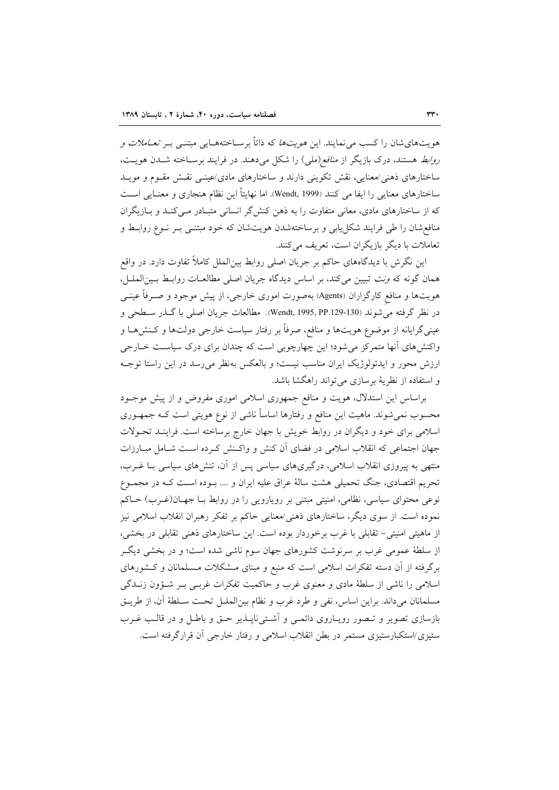هویتهای شان را کسب می نمایند. این *هویتها* که ذاتاً برسـاختههـایی مبتنــی بــر *تعــاملات و* ر*وابط هستند*، درک بازیگر از *منافع(ملی) را شکل می*دهند. در فرایند برسـاخته شــدن هویــت، ساختارهای ذهنی/معنایی، نقش تکوینی دارند و ساختارهای مادی/عینـی نقـش مقـوم و مویــد ساختارهای معنایی را ایفا می کنند (Wendt, 1999). اما نهایتاً این نظام هنجاری و معنـایی اسـت که از ساختارهای مادی، معانی متفاوت را به ذهن کنش گر انسانی متبـادر مـی کنـد و بــازیگران منافع شان را طی فرایند شکل یابی و برساختهشدن هویتشان که خود مبتنـی بـر نـوع روابـط و تعاملات با دیگر بازیگران است، تعریف می کنند.

این نگرش با دیدگاههای حاکم بر جریان اصلی روابط بین|لملل کاملاً تفاوت دارد. در واقع همان گونه که *ونت* تبیین میکند، بر اساس دیدگاه جریان اصلی مطالعـات روابـط بـین الملـل، هویتها و منافع کارگزاران (Agents) بهصورت اموری خارجی، از پیش موجود و صـرفاً عینــی در نظر گرفته مي شوند (Wendt, 1995, PP.129-130). مطالعات جريان اصلي با گــذر ســطحي و عینیگرایانه از موضوع هویتها و منافع، صرفاً بر رفتار سیاست خارجی دولتها و کـنش۵ا و واکنشهای آنها متمرکز می شود؛ این چهارچوبی است که چندان برای درک سیاست خـارجی ارزش محور و ایدئولوژیک ایران مناسب نیست؛ و بالعکس بهنظر می رسد در این راستا توجـه و استفاده از نظریهٔ برسازی می تواند راهگشا باشد.

براساس این استدلال، هویت و منافع جمهوری اسلامی اموری مفروض و از پیش موجــود محسوب نمی شوند. ماهیت این منافع و رفتارها اساساً ناشی از نوع هویتی است کـه جمهـوری اسلامی برای خود و دیگران در روابط خویش با جهان خارج برساخته است. فراینـد تحـولات جهان اجتماعی که انقلاب اسلامی در فضای آن کنش و واکـنش کـرده اسـت شـامل مبـارزات منتهی به پیروزی انقلاب اسلامی، درگیریهای سیاسی پس از آن، تنشهای سیاسی بـا غــرب، تحریم اقتصادی، جنگ تحمیلی هشت سالهٔ عراق علیه ایران و .... بـوده اسـت کـه در مجمـوع نوعی محتوای سیاسی، نظامی، امنیتی مبتنی بر رویارویی را در روابط بــا جهــان(غــرب) حــاکم نموده است. از سوی دیگر، ساختارهای ذهنی/معنایی حاکم بر تفکر رهبران انقلاب اسلامی نیز از ماهیتی امنیتی- تقابلی با غرب برخوردار بوده است. این ساختارهای ذهنی تقابلی در بخشی، از سلطهٔ عمومی غرب بر سرنوشت کشورهای جهان سوم ناشی شده است؛ و در بخشی دیگ برگرفته از آن دسته تفکرات اسلامی است که منبع و مبنای مشکلات مـسلمانان و کـشورهای اسلامی را ناشی از سلطهٔ مادی و معنوی غرب و حاکمیت تفکرات غربـی بــر شــؤون زنــدگی مسلمانان مي داند. براين اساس، نفي و طرد غرب و نظام بينالملـل تحـت سـلطهٔ آن، از طريـق بازسازی تصویر و تـصور رویـاروی دائمـی و اَشـتیiاپــذیر حـق و باطـل و در قالـب غــرب ستیزی/استکبارستیزی مستمر در بطن انقلاب اسلامی و رفتار خارجی آن قرارگرفته است.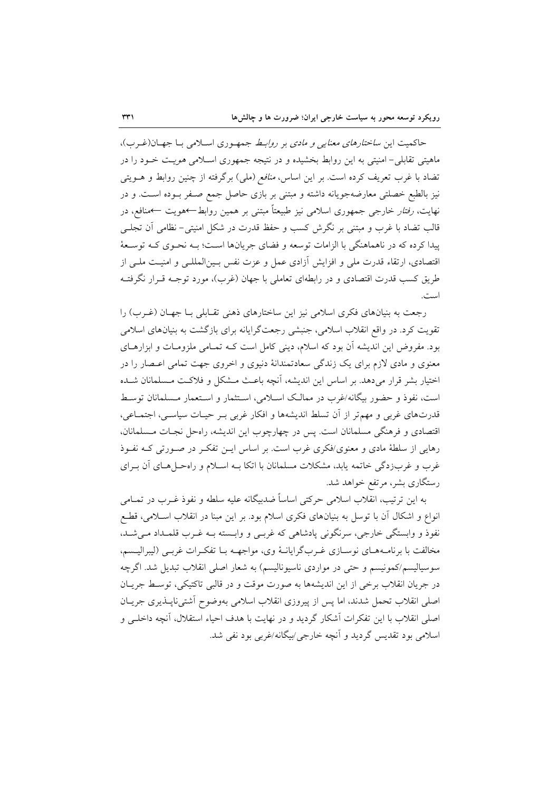حاکمیت این *ساختارهای معنایی و مادی* بر *روابط جمهو*ری اسلامی بـا جهـان(غـرب)، ماهیتی تقابلی-امنیتی به این روابط بخشیده و در نتیجه جمهوری اسـلامی *هویـت خـ*ود را در تضاد با غرب تعریف کرده است. بر این اساس، *منافع (م*لی) برگرفته از چنین روابط و هــویتی نیز بالطبع خصلتی معارضهجویانه داشته و مبتنی بر بازی حاصل جمع صفر بوده است. و در نهایت، *رفتار* خارجی جمهوری اسلامی نیز طبیعتاً مبتنی بر همین روابط←هویت ←منافع، در قالب تضاد با غرب و مبتنی بر نگرش کسب و حفظ قدرت در شکل امنیتی- نظامی اَن تجلــی ییدا کرده که در ناهماهنگی با الزامات توسعه و فضای جریانها است؛ بـه نحـوی کـه توسـعهٔ اقتصادی، ارتقاء قدرت ملی و افزایش آزادی عمل و عزت نفس بسین(لمللبی و امنیت ملبی از طریق کسب قدرت اقتصادی و در رابطهای تعاملی با جهان (غرب)، مورد توجـه قــرار نگرفتــه است.

رجعت به بنیانهای فکری اسلامی نیز این ساختارهای ذهنی تقـابلی بـا جهـان (غـرب) را تقویت کرد. در واقع انقلاب اسلامی، جنبشی رجعتگرایانه برای بازگشت به بنیانهای اسلامی بود. مفروض این اندیشه آن بود که اسلام، دینی کامل است کـه تمـامی ملزومـات و ابزارهـای معنوی و مادی لازم برای یک زندگی سعادتمندانهٔ دنیوی و اخروی جهت تمامی اعـصار را در اختیار بشر قرار می دهد. بر اساس این اندیشه، آنچه باعث مـشکل و فلاکـت مـسلمانان شـده است، نفوذ و حضور بیگانه/غرب در ممالک اسلامی، استثمار و استعمار مـسلمانان توسـط قدرتهای غربی و مهم تر از آن تسلط اندیشهها و افکار غربی بـر حیـات سیاسـی، اجتمـاعی، اقتصادی و فرهنگی مسلمانان است. پس در چهارچوب این اندیشه، راهحل نجبات مـسلمانان، رهایی از سلطهٔ مادی و معنوی/فکری غرب است. بر اساس ایـن تفکـر در صـورتی کـه نفـوذ غرب و غربزدگی خاتمه یابد، مشکلات مسلمانان با اتکا بـه اسـلام و راهحـل(هـای آن بـرای رستگاری بشر، مرتفع خواهد شد.

به اين ترتيب، انقلاب اسلامي حركتي اساساً ضدبيگانه عليه سلطه و نفوذ غــرب در تمــامي انواع و اشکال آن با توسل به بنیانهای فکری اسلام بود. بر این مبنا در انقلاب اسـلامی، قطـع نفوذ و وابستگي خارجي، سرنگوني پادشاهي كه غربـي و وابـسته بــه غــرب قلمــداد مــي شــد، مخالفت با برنامـههـاي نوسـازي غـربگرايانـهٔ وي، مواجهـه بـا تفكـرات غربـي (ليبراليـسم، سوسیالیسم/کمونیسم و حتی در مواردی ناسیونالیسم) به شعار اصلی انقلاب تبدیل شد. اگرچه در جريان انقلاب برخي از اين انديشهها به صورت موقت و در قالبي تاكتيكي، توسط جريـان اصلي انقلاب تحمل شدند، اما يس از پيروزي انقلاب اسلامي بهوضوح أشتى نايــذيري جريــان اصلي انقلاب با اين تفكرات آشكار گرديد و در نهايت با هدف احياء استقلال، آنچه داخلـي و اسلامي بود تقديس گرديد و آنچه خارجي/بيگانه/غربي بود نفي شد.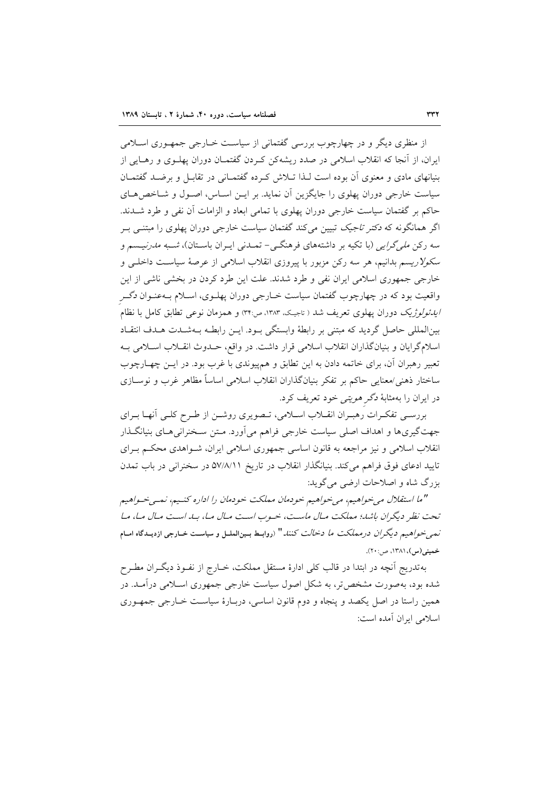از منظری دیگر و در چهارچوب بررسی گفتمانی از سیاست خــارجی جمهـوری اســلامی ایران، از آنجا که انقلاب اسلامی در صدد ریشهکن کـردن گفتمــان دوران پهلــوی و رهــایی از بنیانهای مادی و معنوی آن بوده است لـذا تـلاش کـرده گفتمـانی در تقابـل و برضـد گفتمـان سیاست خارجی دوران پهلوی را جایگزین آن نماید. بر ایـن اسـاس، اصـول و شــاخص هــای حاکم بر گفتمان سیاست خارجی دوران یهلوی با تمامی ابعاد و الزامات آن نفی و طرد شــدند. اگر همانگونه که *دکتر تاجیک* تبیین میکند گفتمان سیاست خارجی دوران پهلوی را مبتنــی بــر سه رکن *ملی گرایی* (با تکیه بر داشتههای فرهنگ<sub>حی</sub>- تمـدنی ایـران باسـتان)، *شـبه مدرنی*ـسم و *سکولاریسم* بدانیم، هر سه رکن مزبور با پیروزی انقلاب اسلامی از عرصهٔ سیاست داخلـی و خارجي جمهوري اسلامي ايران نفي و طرد شدند. علت اين طرد كردن در بخشي ناشي از اين واقعیت بود که در چهارچوب گفتمان سیاست خــارجی دوران پهلــوی، اســلام بــهعنــوان دگــر /*یدئولوژیک* دوران یهلوی تعریف شد ( تاجیک، ۱۳۸۳، ص۳۴:) و همزمان نوعی تطابق کامل با نظام بینالمللی حاصل گردید که مبتنی بر رابطهٔ وابستگی بـود. ایــن رابطــه بــهشــدت هــدف انتقــاد اسلام گرایان و بنیان گذاران انقلاب اسلامی قرار داشت. در واقع، حـدوث انقـلاب اسـلامی بـه تعبیر رهبران آن، برای خاتمه دادن به این تطابق و همپیوندی با غرب بود. در ایــن چهــارچوب ساختار ذهني/معنايي حاكم بر تفكر بنيانگذاران انقلاب اسلامي اساساً مظاهر غرب و نوسـازي در ایران را بهمثابهٔ *دگر هویتی خو*د تعریف کرد.

بررسی تفکرات رهبران انقلاب اسلامی، تصویری روشن از طرح کلی آنها برای جهت گیریها و اهداف اصلی سیاست خارجی فراهم می آورد. مـتن سـخنرانی هـای بنیانگـذار انقلاب اسلامی و نیز مراجعه به قانون اساسی جمهوری اسلامی ایران، شـواهدی محکـم بـرای تایید ادعای فوق فراهم میکند. بنیانگذار انقلاب در تاریخ ۵۷/۸/۱۱ در سخنرانی در باب تمدن بزرگ شاه و اصلاحات ارضی می گوید:

"ما استقلال می خواهیم، می خواهیم خودمان مملکت خودمان را اداره کنیم، نمی خواهیم تحت نظر دیگران باشد؛ مملکت مـال ماسـت، خـوب اسـت مـال مـا، بـد اسـت مـال مـا، مـا نه<sub>ی</sub> خواهیم دیگرا*ن درمملکت ما دخالت کنند*" (روابط بینالملیل و سیاست خبارجی ازدیبدگاه امبام خمینی (س)، ۱۳۸۱، ص:۲۰).

بهتدریج آنچه در ابتدا در قالب کلی ادارهٔ مستقل مملکت، خــارج از نفــوذ دیگــران مطــرح شده بود، بهصورت مشخص تر، به شکل اصول سیاست خارجی جمهوری اسـلامی درآمـد. در همین راستا در اصل یکصد و پنجاه و دوم قانون اساسی، دربـارهٔ سیاسـت خــارجی جمهــوری اسلامی ابران آمده است: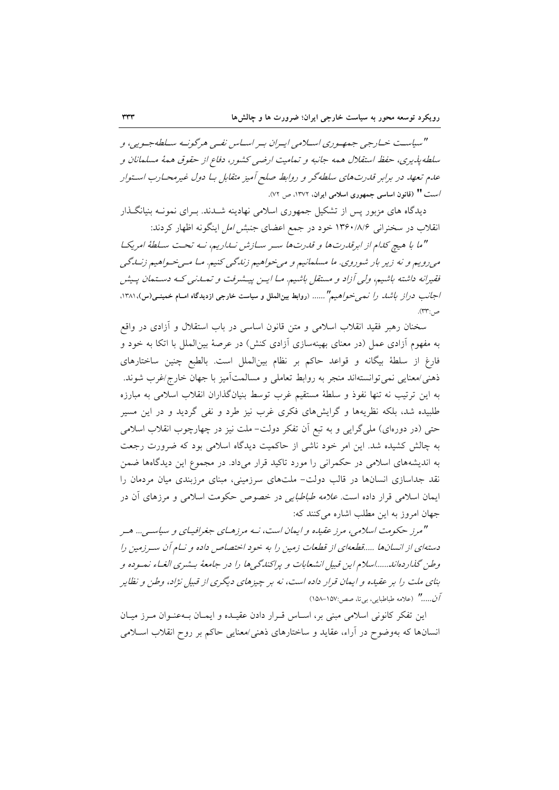"سياست خــارجي جمهـوري اســلامي ايــران بــر اســاس نفــي هرگونــه سـلطهجـويي، و سلطه پذیری، حفظ استقلال همه جانبه و تمامیت ارضی کشور، دفاع از حقوق همهٔ مسلمانان و عدم تعهد در برابر قدرتهای سلطهگر و روابط صلح آمیز متقابل بـا دول غیرمحـارب اسـتوار /ست " (قانون اساسی جمهوری اسلامی ایران، ۱۳۷۲، ص ۷۲).

دیدگاه های مزبور پس از تشکیل جمهوری اسلامی نهادینه شــدند. بــرای نمونــه بنیانگــذار انقلاب در سخنرانی ۱۳۶۰/۸/۶ خود در جمع اعضای *جنبش امل* اینگونه اظهار کردند:

"ما با هيچ كليام از ابرقلارت ها و قلارت ها سر سازش نبلاريم، نـه تحت سلطهٔ امريكيا می رویم و نه زیر بار شوروی. ما مسلمانیم و می خواهیم زندگی کنیم. مـا مـی خـواهیم زنـدگی فقيرانه داشته باشيم، ولي آزاد و مستقل باشيم. مـا ايـن پيـشرفت و تمـلني كـه دسـتمان پـيش *اجانب دراز باشد را نمی خواهیم"......* (روابط بینالملل و سیاست خارجی ازدیدگاه امـام خمینــی(س)۱۳۸۱، ص ۳۳: ۳۳).

سخنان رهبر فقيد انقلاب اسلامي و متن قانون اساسي در باب استقلال و آزادي در واقع به مفهوم آزادی عمل (در معنای بهینهسازی آزادی کنش) در عرصهٔ بین(لملل با اتکا به خود و فارغ از سلطهٔ بیگانه و قواعد حاکم بر نظام بین|لملل است. بالطبع چنین ساختارهای ذهنی/معنایی نمیتوانستهاند منجر به روابط تعاملی و مسالمتآمیز با جهان خارج/غرب شوند. به این ترتیب نه تنها نفوذ و سلطهٔ مستقیم غرب توسط بنیانگذاران انقلاب اسلامی به مبارزه طلبیده شد، بلکه نظریهها و گرایشهای فکری غرب نیز طرد و نفی گردید و در این مسیر حتی (در دورهای) ملی گرایی و به تبع اَن تفکر دولت– ملت نیز در چهارچوب انقلاب اسلامی به چالش کشیده شد. این امر خود ناشی از حاکمیت دیدگاه اسلامی بود که ضرورت رجعت به اندیشههای اسلامی در حکمرانی را مورد تاکید قرار میداد. در مجموع این دیدگاهها ضمن نقد جداسازی انسانها در قالب دولت- ملتهای سرزمینی، مبنای مرزبندی میان مردمان را ایمان اسلامی قرار داده است. *علامه طباطبایی* در خصوص حکومت اسلامی و مرزهای آن در جهان امروز به این مطلب اشاره می کنند که:

"مرز حکومت اسلامی، مرز عقیده و ایمان است، نـه مرزهـای جغرافیـای و سیاسـی... هـر دستهای از انسانها .....قطعهای از قطعات زمین را به خود اختصاص داده و نـام آن سـرزمین را وطن گذاردهاند......اسلام این قبیل انشعابات و پراکندگی ها را در جامعهٔ بـشری الغـاء نمـوده و بنای ملت را بر عقبده و ایمان قرار داده است، نه بر چیزهای دیگری از قبیل نژاد، وطن و نظایر آن....." (علامه طباطبايي، بي تا، صص:١٥٧-١٥٨)

این تفکر کانونی اسلامی مبنی بر، اسـاس قـرار دادن عقیـده و ایمـان بــهعنــوان مــرز میــان انسانها که بهوضوح در آراء، عقاید و ساختارهای ذهنی/معنایی حاکم بر روح انقلاب اسلامی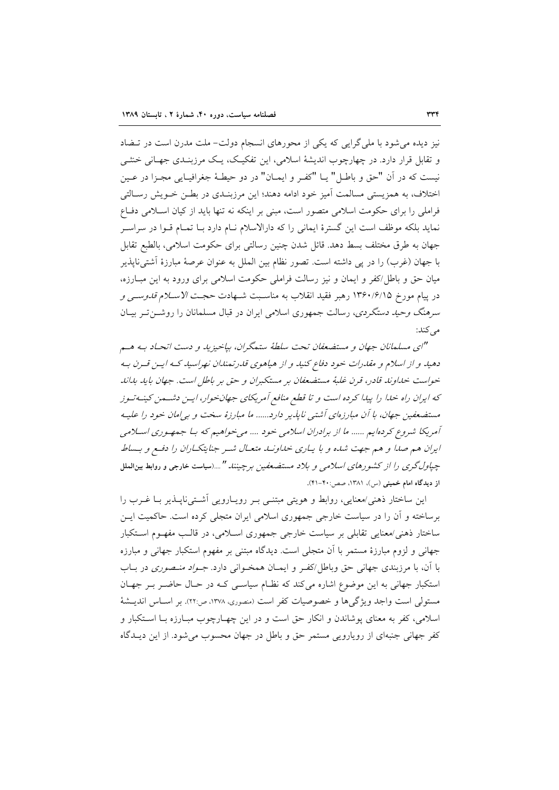نیز دیده می شود با ملی گرایی که یکی از محورهای انسجام دولت- ملت مدرن است در تــضاد و تقابل قرار دارد. در چهارچوب اندیشهٔ اسلامی، این تفکیک، یک مرزبنـدی جهـانی خنثـی نست که در آن "حق و باط/" یـا "کفـر و ایمـان" در دو حیطـهٔ جغرافیـایی مجـزا در عـین اختلاف، به همزیستی مسالمت آمیز خود ادامه دهند؛ این مرزبنـدی در بطـن خــویش رســالتی فراملی را برای حکومت اسلامی متصور است، مبنی بر اینکه نه تنها باید از کیان اسلامی دفـاع نماید بلکه موظف است این گسترهٔ ایمانی را که دارالاسلام نـام دارد بـا تمـام قـوا در سراسـر جهان به طرق مختلف بسط دهد. قائل شدن چنین رسالتی برای حکومت اسلامی، بالطبع تقابل با جهان (غرب) را در پی داشته است. تصور نظام بین الملل به عنوان عرصهٔ مبارزهٔ آشتی ناپذیر میان حق و باطل/کفر و ایمان و نیز رسالت فراملی حکومت اسلامی برای ورود به این مبـارزه، در پیام مورخ ۱۳۶۰/۶/۱۵ رهبر فقید انقلاب به مناسبت شـهادت *حجـت الاســلام قدوســی و سرهنگ وحید دستگردی*، رسالت جمهوری اسلامی ایران در قبال مسلمانان را روشــنتـر بیــان مي كند:

"ای مسلمانان جهان و مستضعفان تحت سلطهٔ ستمگران، بیاخیزید و دست اتحـاد بـه هـم دهید و از اسلام و مقدرات خود دفاع کنید و از هیاهوی قدرتمندان نهراسید کـه ایـن قــرن بـه خواست خداوند قادر، قرن غلبهٔ مستضعفان بر مستکبران و حق بر باطل است. جهان باید بداند که ایران راه خدا را پیدا کرده است و تا قطع منافع آمریکای جهانخوار، ایـن دشـمن کینـهتـوز مستضعفین جهان، با آن مبارزهای آشتی ناپذیر دارد...... ما مبارزهٔ سخت و بی امان خود را علیـه آمریکا شروع کردهایم ...... ما از برادران اسلامی خود .... می خواهیم که بـا جمهـوری اسـلامی ایران هم صدا و هم جهت شده و با پیاری خداونید متعیال شیر جنایتکاران را دفع و به اط چ*پاول گری را از کشورهای اسلامی و بلاد مستضعفین برچینند "....*(سیاست خارجی و روابط بینالملل از دیدگاه امام خمینی (س)، ۱۳۸۱، صص:۴۰-۴۱).

این ساختار ذهنی/معنایی، روابط و هویتی مبتنـی بـر رویـارویی آشـتیiبایـذیر بـا غـرب را برساخته و آن را در سیاست خارجی جمهوری اسلامی ایران متجلی کرده است. حاکمیت ایــن ساختار ذهني/معنايي تقابلي بر سياست خارجي جمهوري اسـلامي، در قالـب مفهـوم اسـتكبار جهانی و لزوم مبارزهٔ مستمر با آن متجلی است. دیدگاه مبتنی بر مفهوم استکبار جهانی و مبارزه با آن، با مرزبندي جهاني حق وباطل/كف و ايمــان همخـواني دارد. *جــواد منــصوري* در بــاب استکبار جهانی به این موضوع اشاره می کند که نظـام سیاسـی کـه در حـال حاضـر بـر جهـان مستولی است واجد ویژگی ها و خصوصیات کفر است (منصوری، ۱۳۷۸، ص:۲۲). بر اسـاس اندیــشهٔ اسلامی، کفر به معنای یوشاندن و انکار حق است و در این چهـارچوب مبـارزه بـا اسـتکبار و کفر جهانی جنبهای از رویارویی مستمر حق و باطل در جهان محسوب می شود. از این دیـدگاه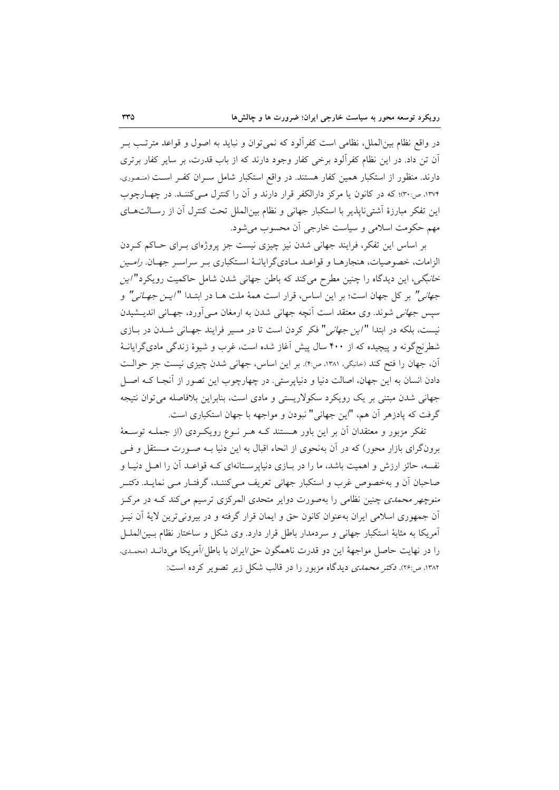در واقع نظام بین|لملل، نظامی است کفراًلود که نمی توان و نباید به اصول و قواعد مترتـب بـر آن تن داد. در این نظام کفر آلود برخی کفار وجود دارند که از باب قدرت، بر سایر کفار برتری دارند. منظور از استکبار همین کفار هستند. در واقع استکبار شامل سـران کفـر اسـت (منـصوری، ۱۳۷۴، ص:۳۰)؛ که در کانون یا مرکز دارالکفر قرار دارند و آن را کنترل مـی کننـد. در چهــارچوب این تفکر مبارزهٔ آشتی،ناپذیر با استکبار جهانی و نظام بین|لملل تحت کنترل آن از رسـالتهـای مهم حکومت اسلامی و سیاست خارجی آن محسوب می شود.

بر اساس این تفکر، فرایند جهانی شدن نیز چیزی نیست جز پروژهای بـرای حـاکم کـردن الزامات، خصوصیات، هنجارهـا و قواعـد مـادیگرایانـهٔ اسـتکباری بـر سراسـر جهـان. *رامـین خانبگی،* این دیدگاه را چنین مطرح میکند که باطن جهانی شدن شامل حاکمیت رویکرد"/*این جهاني"* بر كل جهان است؛ بر اين اساس، قرار است همهٔ ملت هـا در ابتـدا "/يــ*ن جهـاني" و* سیس *جهانی* شوند. وی معتقد است آنچه جهانی شدن به ارمغان مـی آورد، جهـانی اندیــشیدن نیست، بلکه در ابتدا "*این جهانی*" فکر کردن است تا در مسیر فرایند جهـانی شـدن در بـازی شطرنج گونه و پیچیده که از ۴۰۰ سال پیش آغاز شده است، غرب و شیوهٔ زندگی مادیگرایانـهٔ آن، جهان را فتح كند (حانبگي، ١٣٨١، ص:۴). بر اين اساس، جهاني شدن چيزي نيست جز حوالـت دادن انسان به این جهان، اصالت دنیا و دنیاپرستی. در چهارچوب این تصور از آنجـا کـه اصـل جهانی شدن مبتنی بر یک رویکرد سکولاریستی و مادی است، بنابراین بلافاصله می توان نتیجه گرفت که پادزهر آن هم، "این جهانی" نبودن و مواجهه با جهان استکباری است.

تفکر مزبور و معتقدان آن بر این باور هستند کـه هـر نــوع رویکــردی (از جملــه توســعهٔ برونگرای بازار محور) که در آن بهنحوی از انحاء اقبال به این دنیا بـه صـورت مـستقل و فـی نفسه، حائز ارزش و اهمیت باشد، ما را در بــازی دنیایرســتانهای کــه قواعــد آن را اهــل دنیــا و صاحبان أن و بهخصوص غرب و استكبار جهاني تعريف مـي&ننـد، گرفتـار مـي نمايـد. دكتـر *منوچهر محمدی چ*نین نظامی را بهصورت دوایر متحدی المرکزی ترسیم میکند کـه در مرکـز آن جمهوری اسلامی ایران بهعنوان کانون حق و ایمان قرار گرفته و در بیرونیترین لایهٔ آن نیـز أمريكا به مثابة استكبار جهاني و سردمدار باطل قرار دارد. وي شكل و ساختار نظام بين المليل را در نهایت حاصل مواجههٔ این دو قدرت ناهمگون حق/یران با باطل/آمریکا می دانید (محمدی، ۱۳۸۲، ص:۲۶). دکتر محم*دی* دیدگاه مزبور را در قالب شکل زیر تصویر کرده است: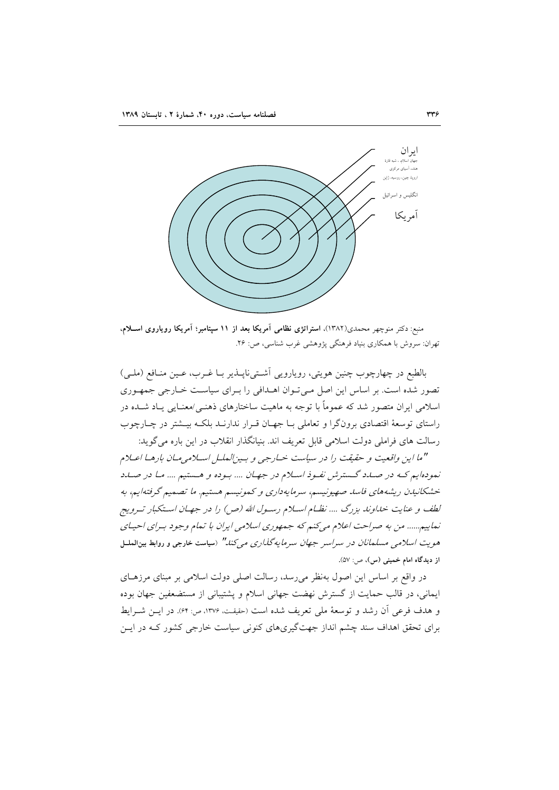

منبع: دکتر منوچهر محمدی(۱۳۸۲)، ا<mark>ستراتژی نظامی اَمریکا بعد از ۱۱ سپتامبر؛ اَمریکا رویاروی اســلام،</mark> تهران: سروش با همکاری بنیاد فرهنگی پژوهشی غرب شناسی، ص: ۲۶.

بالطبع در چهارچوب چنین هویتی، رویارویی آشتهیناپلذیر بـا غـرب، عـین منـافع (ملـی) تصور شده است. بر اساس این اصل می تـوان اهـدافی را بـرای سیاسـت خـارجی جمهـوری اسلامی ایران متصور شد که عموماً با توجه به ماهیت ساختارهای ذهنبی/معنـایی پـاد شــده در راستای توسعهٔ اقتصادی برونگرا و تعاملی بـا جهـان قـرار ندارنــد بلکــه بيــشتر در چــارچوب رسالت های فراملی دولت اسلامی قابل تعریف اند. بنیانگذار انقلاب در این باره می گوید:

"ما این واقعیت و حقیقت را در سیاست خبارجی و به پنالملیل اسلامی مان بارها اعلام نمودهایم کـه در صـلـد گـسترش نفـوذ اسـلام در جهـان .... بـوده و هـستیم .... مـا در صـلـد خشکانیدن ریشههای فاسد صهیونیسم، سرمایهداری و کمونیسم هستیم. ما تصمیم گرفتهایم، به لطف و عنایت خداوند بزرگ .... نظـام اسـلام رسـول الله (ص) را در جهـان اسـتكبار تـرویج نماییم...... من به صراحت اعلام میکنم که جمهوری اسلامی ایران با تمام وجود به رای احیای هویت اسلامی مسلمانان در سراسر جهان سرمایهگذاری میکند" (سیاست خارجی و روابط بینالملسل از دیدگاه امام خمینی (س)، ص: ۵۷).

در واقع بر اساس این اصول بهنظر میرسد، رسالت اصلی دولت اسلامی بر مبنای مرزهـای ایمانی، در قالب حمایت از گسترش نهضت جهانی اسلام و پشتیبانی از مستضعفین جهان بوده و هدف فرعي آن رشد و توسعهٔ ملي تعريف شده است (حقيقت، ١٣٧۶، ص: ۶۴). در ايـن شــرايط برای تحقق اهداف سند چشم انداز جهتگیریهای کنونی سیاست خارجی کشور ک در ایـن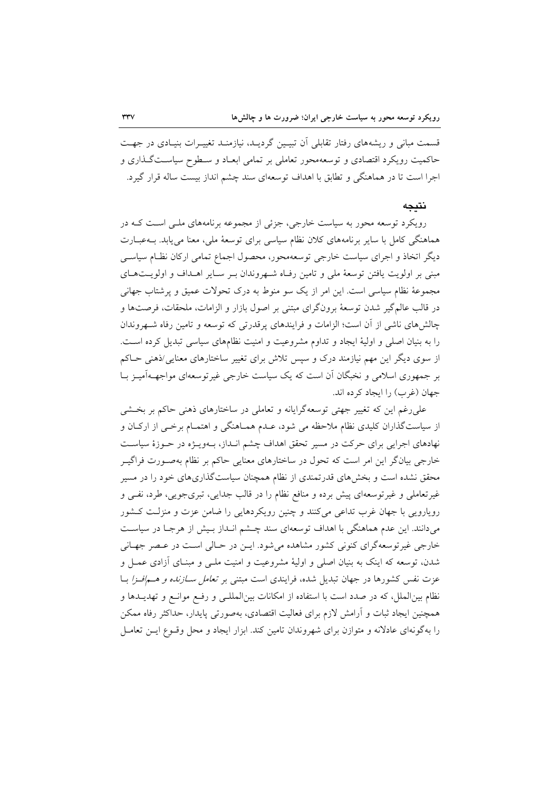قسمت مبانی و ریشههای رفتار تقابلی آن تبیـین گردیـد، نیازمنـد تغییـرات بنیـادی در جهـت حاکمیت رویکرد اقتصادی و توسعهمحور تعاملی بر تمامی ابعـاد و سـطوح سیاسـتگـذاری و اجرا است تا در هماهنگی و تطابق با اهداف توسعهای سند چشم انداز بیست ساله قرار گیرد.

### نتىحە

رویکرد توسعه محور به سیاست خارجی، جزئی از مجموعه برنامههای ملـی اسـت کـه در هماهنگی کامل با سایر برنامههای کلان نظام سیاسی برای توسعهٔ ملی، معنا می یابد. بـهعبـارت دیگر اتخاذ و اجرای سیاست خارجی توسعهمحور، محصول اجماع تمامی ارکان نظـام سیاسـی مبنی بر اولویت یافتن توسعهٔ ملی و تامین رف)ه شهروندان بـر سـایر اهـداف و اولویــتهـای مجموعهٔ نظام سیاسی است. این امر از یک سو منوط به درک تحولات عمیق و پرشتاب جهانی در قالب عالم گیر شدن توسعهٔ برونگرای مبتنی بر اصول بازار و الزامات، ملحقات، فرصتها و چالشهای ناشی از آن است؛ الزامات و فرایندهای پرقدرتی که توسعه و تامین رفاه شـهروندان را به بنیان اصلی و اولیهٔ ایجاد و تداوم مشروعیت و امنیت نظامهای سیاسی تبدیل کرده است. از سوی دیگر این مهم نیازمند درک و سپس تلاش برای تغییر ساختارهای معنایی/ذهنی حـاکم بر جمهوری اسلامی و نخبگان آن است که یک سیاست خارجی غیر توسعهای مواجهــهآمیــز بــا جهان (غرب) را ایجاد کرده اند.

علی رغم این که تغییر جهتی توسعهگرایانه و تعاملی در ساختارهای ذهنی حاکم بر بخشی از سیاستگذاران کلیدی نظام ملاحظه می شود، عـدم همـاهنگی و اهتمـام برخـی از ارکـان و نهادهای اجرایی برای حرکت در مسیر تحقق اهداف چشم انـداز، بـهویـژه در حـوزهٔ سیاسـت خارجی بیانگر این امر است که تحول در ساختارهای معنایی حاکم بر نظام بهصـورت فراگیــر محقق نشده است و بخش های قدرتمندی از نظام همچنان سیاستگذاریهای خود را در مسیر غیرتعاملی و غیرتوسعهای پیش برده و منافع نظام را در قالب جدایی، تبریجویی، طرد، نفـی و رویارویی با جهان غرب تداعی میکنند و چنین رویکردهایی را ضامن عزت و منزلت کشور می دانند. این عدم هماهنگی با اهداف توسعهای سند چـشم انـداز بـیش از هرجـا در سیاسـت خارجي غيرتوسعه گراي کنوني کشور مشاهده مي شود. ايــن در حــالي اســت در عــصر جهــاني شدن، توسعه که اینک به بنیان اصلی و اولیهٔ مشروعیت و امنیت ملـی و مبنـای آزادی عمـل و عزت نفس کشورها در جهان تبدیل شده، فرایندی است مبتنی بر *تعامل ســازنده و هــمافــزا* بــا نظام بین|لملل، که در صدد است با استفاده از امکانات بین|لمللـی و رفـع موانـع و تهدیــدها و همچنین ایجاد ثبات و آرامش لازم برای فعالیت اقتصادی، بهصورتی پایدار، حداکثر رفاه ممکن را بهگونهای عادلانه و متوازن برای شهروندان تامین کند. ابزار ایجاد و محل وقـوع ایـن تعامـل